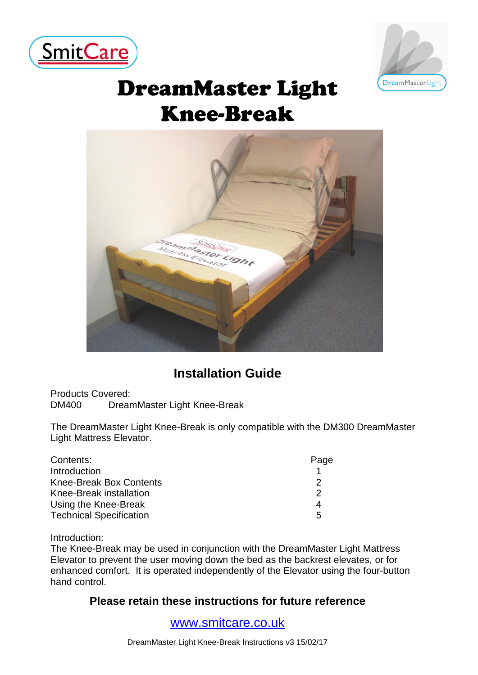



# DreamMaster Light Knee-Break



# **Installation Guide**

Products Covered: DM400 DreamMaster Light Knee-Break

The DreamMaster Light Knee-Break is only compatible with the DM300 DreamMaster Light Mattress Elevator.

| Contents:                      | Page |
|--------------------------------|------|
| Introduction                   |      |
| <b>Knee-Break Box Contents</b> |      |
| Knee-Break installation        |      |
| Using the Knee-Break           | 4    |
| <b>Technical Specification</b> | 5    |

Introduction:

The Knee-Break may be used in conjunction with the DreamMaster Light Mattress Elevator to prevent the user moving down the bed as the backrest elevates, or for enhanced comfort. It is operated independently of the Elevator using the four-button hand control.

### **Please retain these instructions for future reference**

[www.smitcare.co.uk](http://www.smitcare.co.uk/)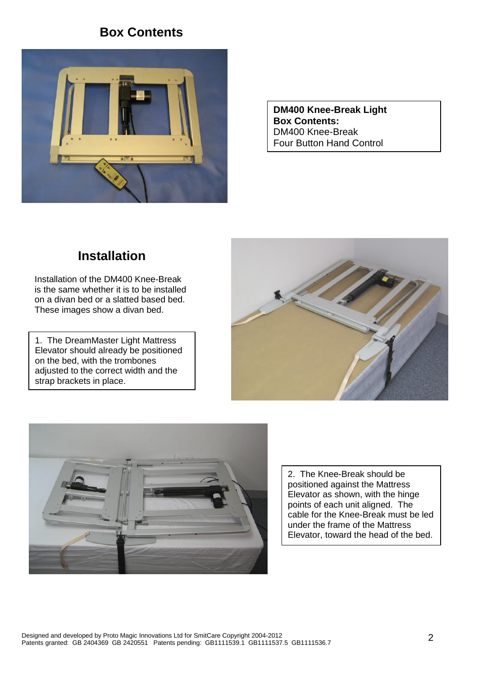### **Box Contents**



**DM400 Knee-Break Light Box Contents:**  DM400 Knee-Break Four Button Hand Control

## **Installation**

Installation of the DM400 Knee-Break is the same whether it is to be installed on a divan bed or a slatted based bed. These images show a divan bed.

1. The DreamMaster Light Mattress Elevator should already be positioned on the bed, with the trombones adjusted to the correct width and the strap brackets in place.





2. The Knee-Break should be positioned against the Mattress Elevator as shown, with the hinge points of each unit aligned. The cable for the Knee-Break must be led under the frame of the Mattress Elevator, toward the head of the bed.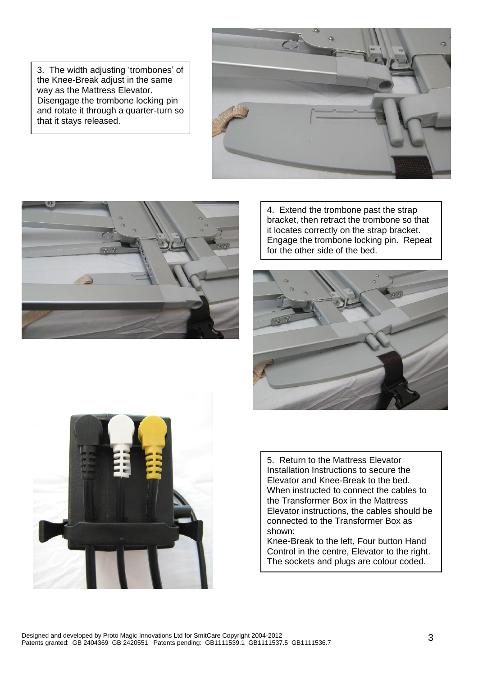3. The width adjusting 'trombones' of the Knee-Break adjust in the same way as the Mattress Elevator. Disengage the trombone locking pin and rotate it through a quarter-turn so that it stays released.





4. Extend the trombone past the strap bracket, then retract the trombone so that it locates correctly on the strap bracket. Engage the trombone locking pin. Repeat for the other side of the bed.





5. Return to the Mattress Elevator Installation Instructions to secure the Elevator and Knee-Break to the bed. When instructed to connect the cables to the Transformer Box in the Mattress Elevator instructions, the cables should be connected to the Transformer Box as shown:

Knee-Break to the left, Four button Hand Control in the centre. Elevator to the right. The sockets and plugs are colour coded.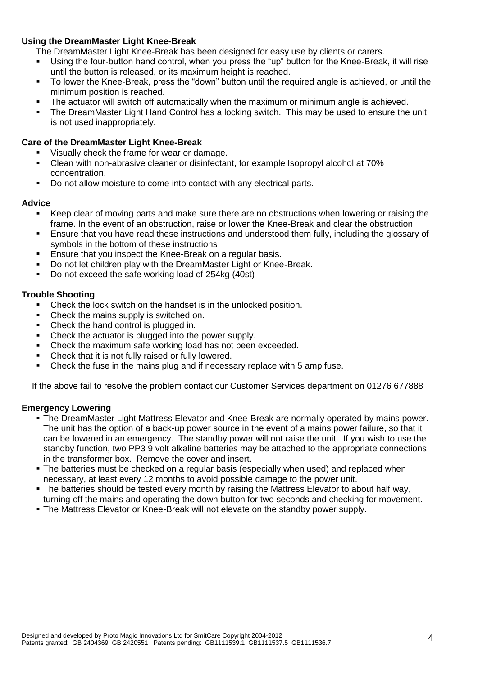#### **Using the DreamMaster Light Knee-Break**

- The DreamMaster Light Knee-Break has been designed for easy use by clients or carers.
- Using the four-button hand control, when you press the "up" button for the Knee-Break, it will rise until the button is released, or its maximum height is reached.
- To lower the Knee-Break, press the "down" button until the required angle is achieved, or until the minimum position is reached.
- The actuator will switch off automatically when the maximum or minimum angle is achieved.
- The DreamMaster Light Hand Control has a locking switch. This may be used to ensure the unit is not used inappropriately.

#### **Care of the DreamMaster Light Knee-Break**

- Visually check the frame for wear or damage.
- Clean with non-abrasive cleaner or disinfectant, for example Isopropyl alcohol at 70% concentration.
- Do not allow moisture to come into contact with any electrical parts.

#### **Advice**

- Keep clear of moving parts and make sure there are no obstructions when lowering or raising the frame. In the event of an obstruction, raise or lower the Knee-Break and clear the obstruction.
- Ensure that you have read these instructions and understood them fully, including the glossary of symbols in the bottom of these instructions
- **Ensure that you inspect the Knee-Break on a regular basis.**
- Do not let children play with the DreamMaster Light or Knee-Break.
- Do not exceed the safe working load of 254kg (40st)

#### **Trouble Shooting**

- Check the lock switch on the handset is in the unlocked position.
- Check the mains supply is switched on.
- Check the hand control is plugged in.
- Check the actuator is plugged into the power supply.
- **Check the maximum safe working load has not been exceeded.**
- Check that it is not fully raised or fully lowered.
- Check the fuse in the mains plug and if necessary replace with 5 amp fuse.

If the above fail to resolve the problem contact our Customer Services department on 01276 677888

#### **Emergency Lowering**

- The DreamMaster Light Mattress Elevator and Knee-Break are normally operated by mains power. The unit has the option of a back-up power source in the event of a mains power failure, so that it can be lowered in an emergency. The standby power will not raise the unit. If you wish to use the standby function, two PP3 9 volt alkaline batteries may be attached to the appropriate connections in the transformer box. Remove the cover and insert.
- **The batteries must be checked on a regular basis (especially when used) and replaced when** necessary, at least every 12 months to avoid possible damage to the power unit.
- The batteries should be tested every month by raising the Mattress Elevator to about half way, turning off the mains and operating the down button for two seconds and checking for movement.
- The Mattress Elevator or Knee-Break will not elevate on the standby power supply.